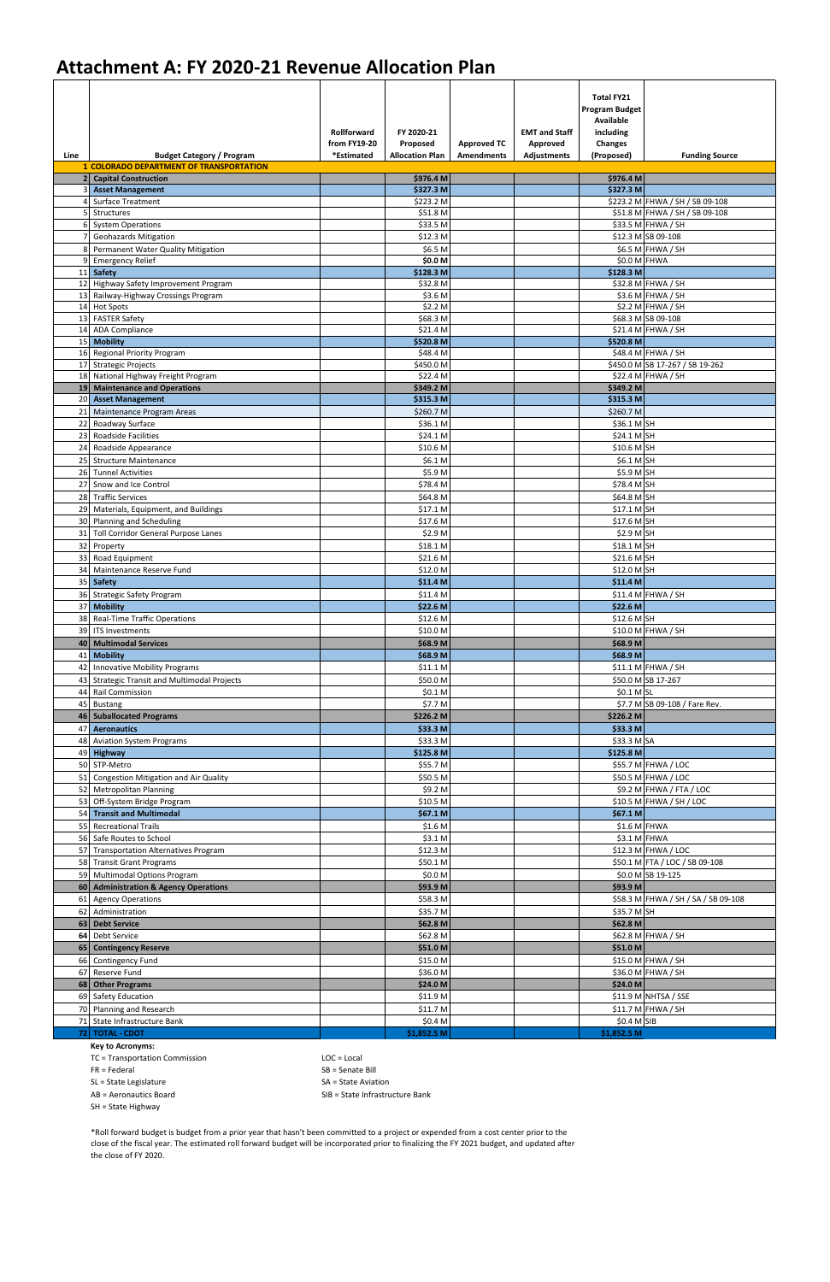| <b>1 COLORADO DEPARTMENT OF TRANSPORTATION</b><br>\$976.4 M<br>\$976.4 M<br>2 Capital Construction<br>\$327.3 M<br><b>Asset Management</b><br>\$327.3 M<br>\$223.2 M<br>\$223.2 M FHWA / SH / SB 09-108<br><b>Surface Treatment</b><br>\$51.8 M FHWA / SH / SB 09-108<br>\$51.8 M<br>Structures<br>\$33.5 M<br>\$33.5 M FHWA / SH<br><b>System Operations</b><br>\$12.3 M SB 09-108<br>\$12.3 M<br><b>Geohazards Mitigation</b><br>\$6.5 M<br>\$6.5 M FHWA / SH<br>Permanent Water Quality Mitigation<br>$$0.0 M$ FHWA<br><b>Emergency Relief</b><br>\$0.0 M<br>\$128.3 M<br>11 Safety<br>\$128.3 M<br>12 Highway Safety Improvement Program<br>\$32.8 M<br>\$32.8 M FHWA / SH<br>13 Railway-Highway Crossings Program<br>\$3.6 M<br>\$3.6 M FHWA / SH<br>\$2.2 M<br>14 Hot Spots<br>\$2.2 M FHWA / SH<br>\$68.3 M<br>\$68.3 M SB 09-108<br>13 FASTER Safety<br><b>ADA Compliance</b><br>\$21.4 M FHWA / SH<br>14<br>\$21.4 M<br>15 Mobility<br>\$520.8 M<br>\$520.8 M<br>\$48.4 M FHWA / SH<br>16 Regional Priority Program<br>\$48.4 M<br>17 Strategic Projects<br>\$450.0 M<br>\$450.0 M SB 17-267 / SB 19-262<br>\$22.4 M FHWA / SH<br>18 National Highway Freight Program<br>\$22.4 M<br>19 Maintenance and Operations<br>\$349.2 M<br>\$349.2 M<br>\$315.3 M<br>\$315.3 M<br>20 Asset Management<br>21<br>Maintenance Program Areas<br>\$260.7 M<br>\$260.7 M<br>\$36.1 M SH<br>22<br>Roadway Surface<br>\$36.1 M<br>23 Roadside Facilities<br>\$24.1 M SH<br>\$24.1 M<br>\$10.6 M SH<br>24 Roadside Appearance<br>\$10.6 <sub>M</sub><br>25<br><b>Structure Maintenance</b><br>\$6.1 M<br>\$6.1 M SH<br>26<br><b>Tunnel Activities</b><br>\$5.9 M<br>\$5.9 M SH<br>27 Snow and Ice Control<br>\$78.4 M<br>\$78.4 M SH<br>\$64.8 M SH<br>28 Traffic Services<br>\$64.8 M<br>29 Materials, Equipment, and Buildings<br>\$17.1 M<br>\$17.1 M SH<br>30 Planning and Scheduling<br>\$17.6 M<br>\$17.6 M SH<br>31<br>\$2.9 M<br>\$2.9 M SH<br>Toll Corridor General Purpose Lanes<br>\$18.1 M SH<br>32 Property<br>\$18.1 <sub>M</sub><br>\$21.6 M SH<br>\$21.6 M<br>33 Road Equipment<br>\$12.0 M<br>\$12.0 M SH<br>34 Maintenance Reserve Fund<br>\$11.4 M<br>\$11.4 M<br>35 Safety<br>$$11.4 M$ FHWA / SH<br>36 Strategic Safety Program<br>\$11.4 M<br>\$22.6 M<br>37 Mobility<br>\$22.6 M<br>\$12.6 M SH<br>38 Real-Time Traffic Operations<br>\$12.6 M<br>39 ITS Investments<br>\$10.0 M FHWA / SH<br>\$10.0 M<br>40 Multimodal Services<br>\$68.9 M<br>\$68.9 M<br>\$68.9 M<br><b>Mobility</b><br>\$68.9 M<br>41<br>$$11.1$ M FHWA / SH<br><b>Innovative Mobility Programs</b><br>\$11.1 M<br>42<br><b>Strategic Transit and Multimodal Projects</b><br>\$50.0 M SB 17-267<br>\$50.0 M<br>43<br><b>Rail Commission</b><br>$$0.1$ M SL<br>\$0.1 <sub>M</sub><br>44<br>\$7.7 M SB 09-108 / Fare Rev.<br>\$7.7 M<br>45 Bustang<br>46 Suballocated Programs<br>\$226.2 M<br>\$226.2 M<br>47 Aeronautics<br>\$33.3 M<br>\$33.3 M<br>\$33.3 M<br>$$33.3$ M SA<br>48 Aviation System Programs<br>\$125.8 M<br>\$125.8 M<br>49 Highway<br>50 STP-Metro<br>\$55.7 M<br>\$55.7 M FHWA / LOC<br>\$50.5 M<br>\$50.5 M FHWA / LOC<br>51 Congestion Mitigation and Air Quality<br>\$9.2 M<br>\$9.2 M FHWA / FTA / LOC<br>52 Metropolitan Planning<br>$$10.5$ M FHWA / SH / LOC<br>53 Off-System Bridge Program<br>\$10.5 <sub>M</sub><br>\$67.1 M<br>54 Transit and Multimodal<br>\$67.1 M<br><b>Recreational Trails</b><br>\$1.6 M FHWA<br>\$1.6 <sub>M</sub><br>55<br>\$3.1 M FHWA<br>56 Safe Routes to School<br>\$3.1 M<br>\$12.3 M FHWA / LOC<br>57 Transportation Alternatives Program<br>\$12.3 M<br>58 Transit Grant Programs<br>\$50.1 M<br>\$50.1 M FTA / LOC / SB 09-108<br>\$0.0 M SB 19-125<br>59 Multimodal Options Program<br>\$0.0 M<br>60 Administration & Agency Operations<br>\$93.9 <sub>M</sub><br>\$93.9 <sub>M</sub><br>\$58.3 M<br>\$58.3 M FHWA / SH / SA / SB 09-108<br>61<br><b>Agency Operations</b><br>62<br>Administration<br>\$35.7 M<br>\$35.7 M SH<br>63 Debt Service<br>\$62.8 M<br>\$62.8 M<br>\$62.8 M FHWA / SH<br>64 Debt Service<br>\$62.8 M<br>\$51.0 M<br>\$51.0 M<br>65 Contingency Reserve<br>\$15.0 M FHWA / SH<br>66 Contingency Fund<br>\$15.0 M<br>67 Reserve Fund<br>\$36.0 M<br>\$36.0 M FHWA / SH<br>\$24.0 M<br>\$24.0 M<br>68 Other Programs<br>\$11.9 M NHTSA / SSE<br>69 Safety Education<br>\$11.9 M<br>$$11.7 M$ FHWA / SH<br>70 Planning and Research<br>\$11.7 M<br>\$0.4 M SIB<br>71 State Infrastructure Bank<br>\$0.4 M<br>\$1,852.5 M<br>72 TOTAL - CDOT<br>\$1,852.5 M | Line | <b>Budget Category / Program</b> | <b>Rollforward</b><br>from FY19-20<br>*Estimated | FY 2020-21<br>Proposed<br><b>Allocation Plan</b> | <b>Approved TC</b><br><b>Amendments</b> | <b>EMT and Staff</b><br>Approved<br><b>Adjustments</b> | <b>Total FY21</b><br><b>Program Budget</b><br><b>Available</b><br>including<br>Changes<br>(Proposed) | <b>Funding Source</b> |
|---------------------------------------------------------------------------------------------------------------------------------------------------------------------------------------------------------------------------------------------------------------------------------------------------------------------------------------------------------------------------------------------------------------------------------------------------------------------------------------------------------------------------------------------------------------------------------------------------------------------------------------------------------------------------------------------------------------------------------------------------------------------------------------------------------------------------------------------------------------------------------------------------------------------------------------------------------------------------------------------------------------------------------------------------------------------------------------------------------------------------------------------------------------------------------------------------------------------------------------------------------------------------------------------------------------------------------------------------------------------------------------------------------------------------------------------------------------------------------------------------------------------------------------------------------------------------------------------------------------------------------------------------------------------------------------------------------------------------------------------------------------------------------------------------------------------------------------------------------------------------------------------------------------------------------------------------------------------------------------------------------------------------------------------------------------------------------------------------------------------------------------------------------------------------------------------------------------------------------------------------------------------------------------------------------------------------------------------------------------------------------------------------------------------------------------------------------------------------------------------------------------------------------------------------------------------------------------------------------------------------------------------------------------------------------------------------------------------------------------------------------------------------------------------------------------------------------------------------------------------------------------------------------------------------------------------------------------------------------------------------------------------------------------------------------------------------------------------------------------------------------------------------------------------------------------------------------------------------------------------------------------------------------------------------------------------------------------------------------------------------------------------------------------------------------------------------------------------------------------------------------------------------------------------------------------------------------------------------------------------------------------------------------------------------------------------------------------------------------------------------------------------------------------------------------------------------------------------------------------------------------------------------------------------------------------------------------------------------------------------------------------------------------------------------------------------------------------------------------------------------------------------------------------------------------------------------------------------------------------------------------------------------------------------------------------------------------------------------------------------------------------------------------------------------------------------------------------------------------------------------------------------------------|------|----------------------------------|--------------------------------------------------|--------------------------------------------------|-----------------------------------------|--------------------------------------------------------|------------------------------------------------------------------------------------------------------|-----------------------|
|                                                                                                                                                                                                                                                                                                                                                                                                                                                                                                                                                                                                                                                                                                                                                                                                                                                                                                                                                                                                                                                                                                                                                                                                                                                                                                                                                                                                                                                                                                                                                                                                                                                                                                                                                                                                                                                                                                                                                                                                                                                                                                                                                                                                                                                                                                                                                                                                                                                                                                                                                                                                                                                                                                                                                                                                                                                                                                                                                                                                                                                                                                                                                                                                                                                                                                                                                                                                                                                                                                                                                                                                                                                                                                                                                                                                                                                                                                                                                                                                                                                                                                                                                                                                                                                                                                                                                                                                                                                                                                                                 |      |                                  |                                                  |                                                  |                                         |                                                        |                                                                                                      |                       |
|                                                                                                                                                                                                                                                                                                                                                                                                                                                                                                                                                                                                                                                                                                                                                                                                                                                                                                                                                                                                                                                                                                                                                                                                                                                                                                                                                                                                                                                                                                                                                                                                                                                                                                                                                                                                                                                                                                                                                                                                                                                                                                                                                                                                                                                                                                                                                                                                                                                                                                                                                                                                                                                                                                                                                                                                                                                                                                                                                                                                                                                                                                                                                                                                                                                                                                                                                                                                                                                                                                                                                                                                                                                                                                                                                                                                                                                                                                                                                                                                                                                                                                                                                                                                                                                                                                                                                                                                                                                                                                                                 |      |                                  |                                                  |                                                  |                                         |                                                        |                                                                                                      |                       |
|                                                                                                                                                                                                                                                                                                                                                                                                                                                                                                                                                                                                                                                                                                                                                                                                                                                                                                                                                                                                                                                                                                                                                                                                                                                                                                                                                                                                                                                                                                                                                                                                                                                                                                                                                                                                                                                                                                                                                                                                                                                                                                                                                                                                                                                                                                                                                                                                                                                                                                                                                                                                                                                                                                                                                                                                                                                                                                                                                                                                                                                                                                                                                                                                                                                                                                                                                                                                                                                                                                                                                                                                                                                                                                                                                                                                                                                                                                                                                                                                                                                                                                                                                                                                                                                                                                                                                                                                                                                                                                                                 |      |                                  |                                                  |                                                  |                                         |                                                        |                                                                                                      |                       |
|                                                                                                                                                                                                                                                                                                                                                                                                                                                                                                                                                                                                                                                                                                                                                                                                                                                                                                                                                                                                                                                                                                                                                                                                                                                                                                                                                                                                                                                                                                                                                                                                                                                                                                                                                                                                                                                                                                                                                                                                                                                                                                                                                                                                                                                                                                                                                                                                                                                                                                                                                                                                                                                                                                                                                                                                                                                                                                                                                                                                                                                                                                                                                                                                                                                                                                                                                                                                                                                                                                                                                                                                                                                                                                                                                                                                                                                                                                                                                                                                                                                                                                                                                                                                                                                                                                                                                                                                                                                                                                                                 |      |                                  |                                                  |                                                  |                                         |                                                        |                                                                                                      |                       |
|                                                                                                                                                                                                                                                                                                                                                                                                                                                                                                                                                                                                                                                                                                                                                                                                                                                                                                                                                                                                                                                                                                                                                                                                                                                                                                                                                                                                                                                                                                                                                                                                                                                                                                                                                                                                                                                                                                                                                                                                                                                                                                                                                                                                                                                                                                                                                                                                                                                                                                                                                                                                                                                                                                                                                                                                                                                                                                                                                                                                                                                                                                                                                                                                                                                                                                                                                                                                                                                                                                                                                                                                                                                                                                                                                                                                                                                                                                                                                                                                                                                                                                                                                                                                                                                                                                                                                                                                                                                                                                                                 |      |                                  |                                                  |                                                  |                                         |                                                        |                                                                                                      |                       |
|                                                                                                                                                                                                                                                                                                                                                                                                                                                                                                                                                                                                                                                                                                                                                                                                                                                                                                                                                                                                                                                                                                                                                                                                                                                                                                                                                                                                                                                                                                                                                                                                                                                                                                                                                                                                                                                                                                                                                                                                                                                                                                                                                                                                                                                                                                                                                                                                                                                                                                                                                                                                                                                                                                                                                                                                                                                                                                                                                                                                                                                                                                                                                                                                                                                                                                                                                                                                                                                                                                                                                                                                                                                                                                                                                                                                                                                                                                                                                                                                                                                                                                                                                                                                                                                                                                                                                                                                                                                                                                                                 |      |                                  |                                                  |                                                  |                                         |                                                        |                                                                                                      |                       |
|                                                                                                                                                                                                                                                                                                                                                                                                                                                                                                                                                                                                                                                                                                                                                                                                                                                                                                                                                                                                                                                                                                                                                                                                                                                                                                                                                                                                                                                                                                                                                                                                                                                                                                                                                                                                                                                                                                                                                                                                                                                                                                                                                                                                                                                                                                                                                                                                                                                                                                                                                                                                                                                                                                                                                                                                                                                                                                                                                                                                                                                                                                                                                                                                                                                                                                                                                                                                                                                                                                                                                                                                                                                                                                                                                                                                                                                                                                                                                                                                                                                                                                                                                                                                                                                                                                                                                                                                                                                                                                                                 |      |                                  |                                                  |                                                  |                                         |                                                        |                                                                                                      |                       |
|                                                                                                                                                                                                                                                                                                                                                                                                                                                                                                                                                                                                                                                                                                                                                                                                                                                                                                                                                                                                                                                                                                                                                                                                                                                                                                                                                                                                                                                                                                                                                                                                                                                                                                                                                                                                                                                                                                                                                                                                                                                                                                                                                                                                                                                                                                                                                                                                                                                                                                                                                                                                                                                                                                                                                                                                                                                                                                                                                                                                                                                                                                                                                                                                                                                                                                                                                                                                                                                                                                                                                                                                                                                                                                                                                                                                                                                                                                                                                                                                                                                                                                                                                                                                                                                                                                                                                                                                                                                                                                                                 |      |                                  |                                                  |                                                  |                                         |                                                        |                                                                                                      |                       |
|                                                                                                                                                                                                                                                                                                                                                                                                                                                                                                                                                                                                                                                                                                                                                                                                                                                                                                                                                                                                                                                                                                                                                                                                                                                                                                                                                                                                                                                                                                                                                                                                                                                                                                                                                                                                                                                                                                                                                                                                                                                                                                                                                                                                                                                                                                                                                                                                                                                                                                                                                                                                                                                                                                                                                                                                                                                                                                                                                                                                                                                                                                                                                                                                                                                                                                                                                                                                                                                                                                                                                                                                                                                                                                                                                                                                                                                                                                                                                                                                                                                                                                                                                                                                                                                                                                                                                                                                                                                                                                                                 |      |                                  |                                                  |                                                  |                                         |                                                        |                                                                                                      |                       |
|                                                                                                                                                                                                                                                                                                                                                                                                                                                                                                                                                                                                                                                                                                                                                                                                                                                                                                                                                                                                                                                                                                                                                                                                                                                                                                                                                                                                                                                                                                                                                                                                                                                                                                                                                                                                                                                                                                                                                                                                                                                                                                                                                                                                                                                                                                                                                                                                                                                                                                                                                                                                                                                                                                                                                                                                                                                                                                                                                                                                                                                                                                                                                                                                                                                                                                                                                                                                                                                                                                                                                                                                                                                                                                                                                                                                                                                                                                                                                                                                                                                                                                                                                                                                                                                                                                                                                                                                                                                                                                                                 |      |                                  |                                                  |                                                  |                                         |                                                        |                                                                                                      |                       |
|                                                                                                                                                                                                                                                                                                                                                                                                                                                                                                                                                                                                                                                                                                                                                                                                                                                                                                                                                                                                                                                                                                                                                                                                                                                                                                                                                                                                                                                                                                                                                                                                                                                                                                                                                                                                                                                                                                                                                                                                                                                                                                                                                                                                                                                                                                                                                                                                                                                                                                                                                                                                                                                                                                                                                                                                                                                                                                                                                                                                                                                                                                                                                                                                                                                                                                                                                                                                                                                                                                                                                                                                                                                                                                                                                                                                                                                                                                                                                                                                                                                                                                                                                                                                                                                                                                                                                                                                                                                                                                                                 |      |                                  |                                                  |                                                  |                                         |                                                        |                                                                                                      |                       |
|                                                                                                                                                                                                                                                                                                                                                                                                                                                                                                                                                                                                                                                                                                                                                                                                                                                                                                                                                                                                                                                                                                                                                                                                                                                                                                                                                                                                                                                                                                                                                                                                                                                                                                                                                                                                                                                                                                                                                                                                                                                                                                                                                                                                                                                                                                                                                                                                                                                                                                                                                                                                                                                                                                                                                                                                                                                                                                                                                                                                                                                                                                                                                                                                                                                                                                                                                                                                                                                                                                                                                                                                                                                                                                                                                                                                                                                                                                                                                                                                                                                                                                                                                                                                                                                                                                                                                                                                                                                                                                                                 |      |                                  |                                                  |                                                  |                                         |                                                        |                                                                                                      |                       |
|                                                                                                                                                                                                                                                                                                                                                                                                                                                                                                                                                                                                                                                                                                                                                                                                                                                                                                                                                                                                                                                                                                                                                                                                                                                                                                                                                                                                                                                                                                                                                                                                                                                                                                                                                                                                                                                                                                                                                                                                                                                                                                                                                                                                                                                                                                                                                                                                                                                                                                                                                                                                                                                                                                                                                                                                                                                                                                                                                                                                                                                                                                                                                                                                                                                                                                                                                                                                                                                                                                                                                                                                                                                                                                                                                                                                                                                                                                                                                                                                                                                                                                                                                                                                                                                                                                                                                                                                                                                                                                                                 |      |                                  |                                                  |                                                  |                                         |                                                        |                                                                                                      |                       |
|                                                                                                                                                                                                                                                                                                                                                                                                                                                                                                                                                                                                                                                                                                                                                                                                                                                                                                                                                                                                                                                                                                                                                                                                                                                                                                                                                                                                                                                                                                                                                                                                                                                                                                                                                                                                                                                                                                                                                                                                                                                                                                                                                                                                                                                                                                                                                                                                                                                                                                                                                                                                                                                                                                                                                                                                                                                                                                                                                                                                                                                                                                                                                                                                                                                                                                                                                                                                                                                                                                                                                                                                                                                                                                                                                                                                                                                                                                                                                                                                                                                                                                                                                                                                                                                                                                                                                                                                                                                                                                                                 |      |                                  |                                                  |                                                  |                                         |                                                        |                                                                                                      |                       |
|                                                                                                                                                                                                                                                                                                                                                                                                                                                                                                                                                                                                                                                                                                                                                                                                                                                                                                                                                                                                                                                                                                                                                                                                                                                                                                                                                                                                                                                                                                                                                                                                                                                                                                                                                                                                                                                                                                                                                                                                                                                                                                                                                                                                                                                                                                                                                                                                                                                                                                                                                                                                                                                                                                                                                                                                                                                                                                                                                                                                                                                                                                                                                                                                                                                                                                                                                                                                                                                                                                                                                                                                                                                                                                                                                                                                                                                                                                                                                                                                                                                                                                                                                                                                                                                                                                                                                                                                                                                                                                                                 |      |                                  |                                                  |                                                  |                                         |                                                        |                                                                                                      |                       |
|                                                                                                                                                                                                                                                                                                                                                                                                                                                                                                                                                                                                                                                                                                                                                                                                                                                                                                                                                                                                                                                                                                                                                                                                                                                                                                                                                                                                                                                                                                                                                                                                                                                                                                                                                                                                                                                                                                                                                                                                                                                                                                                                                                                                                                                                                                                                                                                                                                                                                                                                                                                                                                                                                                                                                                                                                                                                                                                                                                                                                                                                                                                                                                                                                                                                                                                                                                                                                                                                                                                                                                                                                                                                                                                                                                                                                                                                                                                                                                                                                                                                                                                                                                                                                                                                                                                                                                                                                                                                                                                                 |      |                                  |                                                  |                                                  |                                         |                                                        |                                                                                                      |                       |
|                                                                                                                                                                                                                                                                                                                                                                                                                                                                                                                                                                                                                                                                                                                                                                                                                                                                                                                                                                                                                                                                                                                                                                                                                                                                                                                                                                                                                                                                                                                                                                                                                                                                                                                                                                                                                                                                                                                                                                                                                                                                                                                                                                                                                                                                                                                                                                                                                                                                                                                                                                                                                                                                                                                                                                                                                                                                                                                                                                                                                                                                                                                                                                                                                                                                                                                                                                                                                                                                                                                                                                                                                                                                                                                                                                                                                                                                                                                                                                                                                                                                                                                                                                                                                                                                                                                                                                                                                                                                                                                                 |      |                                  |                                                  |                                                  |                                         |                                                        |                                                                                                      |                       |
|                                                                                                                                                                                                                                                                                                                                                                                                                                                                                                                                                                                                                                                                                                                                                                                                                                                                                                                                                                                                                                                                                                                                                                                                                                                                                                                                                                                                                                                                                                                                                                                                                                                                                                                                                                                                                                                                                                                                                                                                                                                                                                                                                                                                                                                                                                                                                                                                                                                                                                                                                                                                                                                                                                                                                                                                                                                                                                                                                                                                                                                                                                                                                                                                                                                                                                                                                                                                                                                                                                                                                                                                                                                                                                                                                                                                                                                                                                                                                                                                                                                                                                                                                                                                                                                                                                                                                                                                                                                                                                                                 |      |                                  |                                                  |                                                  |                                         |                                                        |                                                                                                      |                       |
|                                                                                                                                                                                                                                                                                                                                                                                                                                                                                                                                                                                                                                                                                                                                                                                                                                                                                                                                                                                                                                                                                                                                                                                                                                                                                                                                                                                                                                                                                                                                                                                                                                                                                                                                                                                                                                                                                                                                                                                                                                                                                                                                                                                                                                                                                                                                                                                                                                                                                                                                                                                                                                                                                                                                                                                                                                                                                                                                                                                                                                                                                                                                                                                                                                                                                                                                                                                                                                                                                                                                                                                                                                                                                                                                                                                                                                                                                                                                                                                                                                                                                                                                                                                                                                                                                                                                                                                                                                                                                                                                 |      |                                  |                                                  |                                                  |                                         |                                                        |                                                                                                      |                       |
|                                                                                                                                                                                                                                                                                                                                                                                                                                                                                                                                                                                                                                                                                                                                                                                                                                                                                                                                                                                                                                                                                                                                                                                                                                                                                                                                                                                                                                                                                                                                                                                                                                                                                                                                                                                                                                                                                                                                                                                                                                                                                                                                                                                                                                                                                                                                                                                                                                                                                                                                                                                                                                                                                                                                                                                                                                                                                                                                                                                                                                                                                                                                                                                                                                                                                                                                                                                                                                                                                                                                                                                                                                                                                                                                                                                                                                                                                                                                                                                                                                                                                                                                                                                                                                                                                                                                                                                                                                                                                                                                 |      |                                  |                                                  |                                                  |                                         |                                                        |                                                                                                      |                       |
|                                                                                                                                                                                                                                                                                                                                                                                                                                                                                                                                                                                                                                                                                                                                                                                                                                                                                                                                                                                                                                                                                                                                                                                                                                                                                                                                                                                                                                                                                                                                                                                                                                                                                                                                                                                                                                                                                                                                                                                                                                                                                                                                                                                                                                                                                                                                                                                                                                                                                                                                                                                                                                                                                                                                                                                                                                                                                                                                                                                                                                                                                                                                                                                                                                                                                                                                                                                                                                                                                                                                                                                                                                                                                                                                                                                                                                                                                                                                                                                                                                                                                                                                                                                                                                                                                                                                                                                                                                                                                                                                 |      |                                  |                                                  |                                                  |                                         |                                                        |                                                                                                      |                       |
|                                                                                                                                                                                                                                                                                                                                                                                                                                                                                                                                                                                                                                                                                                                                                                                                                                                                                                                                                                                                                                                                                                                                                                                                                                                                                                                                                                                                                                                                                                                                                                                                                                                                                                                                                                                                                                                                                                                                                                                                                                                                                                                                                                                                                                                                                                                                                                                                                                                                                                                                                                                                                                                                                                                                                                                                                                                                                                                                                                                                                                                                                                                                                                                                                                                                                                                                                                                                                                                                                                                                                                                                                                                                                                                                                                                                                                                                                                                                                                                                                                                                                                                                                                                                                                                                                                                                                                                                                                                                                                                                 |      |                                  |                                                  |                                                  |                                         |                                                        |                                                                                                      |                       |
|                                                                                                                                                                                                                                                                                                                                                                                                                                                                                                                                                                                                                                                                                                                                                                                                                                                                                                                                                                                                                                                                                                                                                                                                                                                                                                                                                                                                                                                                                                                                                                                                                                                                                                                                                                                                                                                                                                                                                                                                                                                                                                                                                                                                                                                                                                                                                                                                                                                                                                                                                                                                                                                                                                                                                                                                                                                                                                                                                                                                                                                                                                                                                                                                                                                                                                                                                                                                                                                                                                                                                                                                                                                                                                                                                                                                                                                                                                                                                                                                                                                                                                                                                                                                                                                                                                                                                                                                                                                                                                                                 |      |                                  |                                                  |                                                  |                                         |                                                        |                                                                                                      |                       |
|                                                                                                                                                                                                                                                                                                                                                                                                                                                                                                                                                                                                                                                                                                                                                                                                                                                                                                                                                                                                                                                                                                                                                                                                                                                                                                                                                                                                                                                                                                                                                                                                                                                                                                                                                                                                                                                                                                                                                                                                                                                                                                                                                                                                                                                                                                                                                                                                                                                                                                                                                                                                                                                                                                                                                                                                                                                                                                                                                                                                                                                                                                                                                                                                                                                                                                                                                                                                                                                                                                                                                                                                                                                                                                                                                                                                                                                                                                                                                                                                                                                                                                                                                                                                                                                                                                                                                                                                                                                                                                                                 |      |                                  |                                                  |                                                  |                                         |                                                        |                                                                                                      |                       |
|                                                                                                                                                                                                                                                                                                                                                                                                                                                                                                                                                                                                                                                                                                                                                                                                                                                                                                                                                                                                                                                                                                                                                                                                                                                                                                                                                                                                                                                                                                                                                                                                                                                                                                                                                                                                                                                                                                                                                                                                                                                                                                                                                                                                                                                                                                                                                                                                                                                                                                                                                                                                                                                                                                                                                                                                                                                                                                                                                                                                                                                                                                                                                                                                                                                                                                                                                                                                                                                                                                                                                                                                                                                                                                                                                                                                                                                                                                                                                                                                                                                                                                                                                                                                                                                                                                                                                                                                                                                                                                                                 |      |                                  |                                                  |                                                  |                                         |                                                        |                                                                                                      |                       |
|                                                                                                                                                                                                                                                                                                                                                                                                                                                                                                                                                                                                                                                                                                                                                                                                                                                                                                                                                                                                                                                                                                                                                                                                                                                                                                                                                                                                                                                                                                                                                                                                                                                                                                                                                                                                                                                                                                                                                                                                                                                                                                                                                                                                                                                                                                                                                                                                                                                                                                                                                                                                                                                                                                                                                                                                                                                                                                                                                                                                                                                                                                                                                                                                                                                                                                                                                                                                                                                                                                                                                                                                                                                                                                                                                                                                                                                                                                                                                                                                                                                                                                                                                                                                                                                                                                                                                                                                                                                                                                                                 |      |                                  |                                                  |                                                  |                                         |                                                        |                                                                                                      |                       |
|                                                                                                                                                                                                                                                                                                                                                                                                                                                                                                                                                                                                                                                                                                                                                                                                                                                                                                                                                                                                                                                                                                                                                                                                                                                                                                                                                                                                                                                                                                                                                                                                                                                                                                                                                                                                                                                                                                                                                                                                                                                                                                                                                                                                                                                                                                                                                                                                                                                                                                                                                                                                                                                                                                                                                                                                                                                                                                                                                                                                                                                                                                                                                                                                                                                                                                                                                                                                                                                                                                                                                                                                                                                                                                                                                                                                                                                                                                                                                                                                                                                                                                                                                                                                                                                                                                                                                                                                                                                                                                                                 |      |                                  |                                                  |                                                  |                                         |                                                        |                                                                                                      |                       |
|                                                                                                                                                                                                                                                                                                                                                                                                                                                                                                                                                                                                                                                                                                                                                                                                                                                                                                                                                                                                                                                                                                                                                                                                                                                                                                                                                                                                                                                                                                                                                                                                                                                                                                                                                                                                                                                                                                                                                                                                                                                                                                                                                                                                                                                                                                                                                                                                                                                                                                                                                                                                                                                                                                                                                                                                                                                                                                                                                                                                                                                                                                                                                                                                                                                                                                                                                                                                                                                                                                                                                                                                                                                                                                                                                                                                                                                                                                                                                                                                                                                                                                                                                                                                                                                                                                                                                                                                                                                                                                                                 |      |                                  |                                                  |                                                  |                                         |                                                        |                                                                                                      |                       |
|                                                                                                                                                                                                                                                                                                                                                                                                                                                                                                                                                                                                                                                                                                                                                                                                                                                                                                                                                                                                                                                                                                                                                                                                                                                                                                                                                                                                                                                                                                                                                                                                                                                                                                                                                                                                                                                                                                                                                                                                                                                                                                                                                                                                                                                                                                                                                                                                                                                                                                                                                                                                                                                                                                                                                                                                                                                                                                                                                                                                                                                                                                                                                                                                                                                                                                                                                                                                                                                                                                                                                                                                                                                                                                                                                                                                                                                                                                                                                                                                                                                                                                                                                                                                                                                                                                                                                                                                                                                                                                                                 |      |                                  |                                                  |                                                  |                                         |                                                        |                                                                                                      |                       |
|                                                                                                                                                                                                                                                                                                                                                                                                                                                                                                                                                                                                                                                                                                                                                                                                                                                                                                                                                                                                                                                                                                                                                                                                                                                                                                                                                                                                                                                                                                                                                                                                                                                                                                                                                                                                                                                                                                                                                                                                                                                                                                                                                                                                                                                                                                                                                                                                                                                                                                                                                                                                                                                                                                                                                                                                                                                                                                                                                                                                                                                                                                                                                                                                                                                                                                                                                                                                                                                                                                                                                                                                                                                                                                                                                                                                                                                                                                                                                                                                                                                                                                                                                                                                                                                                                                                                                                                                                                                                                                                                 |      |                                  |                                                  |                                                  |                                         |                                                        |                                                                                                      |                       |
|                                                                                                                                                                                                                                                                                                                                                                                                                                                                                                                                                                                                                                                                                                                                                                                                                                                                                                                                                                                                                                                                                                                                                                                                                                                                                                                                                                                                                                                                                                                                                                                                                                                                                                                                                                                                                                                                                                                                                                                                                                                                                                                                                                                                                                                                                                                                                                                                                                                                                                                                                                                                                                                                                                                                                                                                                                                                                                                                                                                                                                                                                                                                                                                                                                                                                                                                                                                                                                                                                                                                                                                                                                                                                                                                                                                                                                                                                                                                                                                                                                                                                                                                                                                                                                                                                                                                                                                                                                                                                                                                 |      |                                  |                                                  |                                                  |                                         |                                                        |                                                                                                      |                       |
|                                                                                                                                                                                                                                                                                                                                                                                                                                                                                                                                                                                                                                                                                                                                                                                                                                                                                                                                                                                                                                                                                                                                                                                                                                                                                                                                                                                                                                                                                                                                                                                                                                                                                                                                                                                                                                                                                                                                                                                                                                                                                                                                                                                                                                                                                                                                                                                                                                                                                                                                                                                                                                                                                                                                                                                                                                                                                                                                                                                                                                                                                                                                                                                                                                                                                                                                                                                                                                                                                                                                                                                                                                                                                                                                                                                                                                                                                                                                                                                                                                                                                                                                                                                                                                                                                                                                                                                                                                                                                                                                 |      |                                  |                                                  |                                                  |                                         |                                                        |                                                                                                      |                       |
|                                                                                                                                                                                                                                                                                                                                                                                                                                                                                                                                                                                                                                                                                                                                                                                                                                                                                                                                                                                                                                                                                                                                                                                                                                                                                                                                                                                                                                                                                                                                                                                                                                                                                                                                                                                                                                                                                                                                                                                                                                                                                                                                                                                                                                                                                                                                                                                                                                                                                                                                                                                                                                                                                                                                                                                                                                                                                                                                                                                                                                                                                                                                                                                                                                                                                                                                                                                                                                                                                                                                                                                                                                                                                                                                                                                                                                                                                                                                                                                                                                                                                                                                                                                                                                                                                                                                                                                                                                                                                                                                 |      |                                  |                                                  |                                                  |                                         |                                                        |                                                                                                      |                       |
|                                                                                                                                                                                                                                                                                                                                                                                                                                                                                                                                                                                                                                                                                                                                                                                                                                                                                                                                                                                                                                                                                                                                                                                                                                                                                                                                                                                                                                                                                                                                                                                                                                                                                                                                                                                                                                                                                                                                                                                                                                                                                                                                                                                                                                                                                                                                                                                                                                                                                                                                                                                                                                                                                                                                                                                                                                                                                                                                                                                                                                                                                                                                                                                                                                                                                                                                                                                                                                                                                                                                                                                                                                                                                                                                                                                                                                                                                                                                                                                                                                                                                                                                                                                                                                                                                                                                                                                                                                                                                                                                 |      |                                  |                                                  |                                                  |                                         |                                                        |                                                                                                      |                       |
|                                                                                                                                                                                                                                                                                                                                                                                                                                                                                                                                                                                                                                                                                                                                                                                                                                                                                                                                                                                                                                                                                                                                                                                                                                                                                                                                                                                                                                                                                                                                                                                                                                                                                                                                                                                                                                                                                                                                                                                                                                                                                                                                                                                                                                                                                                                                                                                                                                                                                                                                                                                                                                                                                                                                                                                                                                                                                                                                                                                                                                                                                                                                                                                                                                                                                                                                                                                                                                                                                                                                                                                                                                                                                                                                                                                                                                                                                                                                                                                                                                                                                                                                                                                                                                                                                                                                                                                                                                                                                                                                 |      |                                  |                                                  |                                                  |                                         |                                                        |                                                                                                      |                       |
|                                                                                                                                                                                                                                                                                                                                                                                                                                                                                                                                                                                                                                                                                                                                                                                                                                                                                                                                                                                                                                                                                                                                                                                                                                                                                                                                                                                                                                                                                                                                                                                                                                                                                                                                                                                                                                                                                                                                                                                                                                                                                                                                                                                                                                                                                                                                                                                                                                                                                                                                                                                                                                                                                                                                                                                                                                                                                                                                                                                                                                                                                                                                                                                                                                                                                                                                                                                                                                                                                                                                                                                                                                                                                                                                                                                                                                                                                                                                                                                                                                                                                                                                                                                                                                                                                                                                                                                                                                                                                                                                 |      |                                  |                                                  |                                                  |                                         |                                                        |                                                                                                      |                       |
|                                                                                                                                                                                                                                                                                                                                                                                                                                                                                                                                                                                                                                                                                                                                                                                                                                                                                                                                                                                                                                                                                                                                                                                                                                                                                                                                                                                                                                                                                                                                                                                                                                                                                                                                                                                                                                                                                                                                                                                                                                                                                                                                                                                                                                                                                                                                                                                                                                                                                                                                                                                                                                                                                                                                                                                                                                                                                                                                                                                                                                                                                                                                                                                                                                                                                                                                                                                                                                                                                                                                                                                                                                                                                                                                                                                                                                                                                                                                                                                                                                                                                                                                                                                                                                                                                                                                                                                                                                                                                                                                 |      |                                  |                                                  |                                                  |                                         |                                                        |                                                                                                      |                       |
|                                                                                                                                                                                                                                                                                                                                                                                                                                                                                                                                                                                                                                                                                                                                                                                                                                                                                                                                                                                                                                                                                                                                                                                                                                                                                                                                                                                                                                                                                                                                                                                                                                                                                                                                                                                                                                                                                                                                                                                                                                                                                                                                                                                                                                                                                                                                                                                                                                                                                                                                                                                                                                                                                                                                                                                                                                                                                                                                                                                                                                                                                                                                                                                                                                                                                                                                                                                                                                                                                                                                                                                                                                                                                                                                                                                                                                                                                                                                                                                                                                                                                                                                                                                                                                                                                                                                                                                                                                                                                                                                 |      |                                  |                                                  |                                                  |                                         |                                                        |                                                                                                      |                       |
|                                                                                                                                                                                                                                                                                                                                                                                                                                                                                                                                                                                                                                                                                                                                                                                                                                                                                                                                                                                                                                                                                                                                                                                                                                                                                                                                                                                                                                                                                                                                                                                                                                                                                                                                                                                                                                                                                                                                                                                                                                                                                                                                                                                                                                                                                                                                                                                                                                                                                                                                                                                                                                                                                                                                                                                                                                                                                                                                                                                                                                                                                                                                                                                                                                                                                                                                                                                                                                                                                                                                                                                                                                                                                                                                                                                                                                                                                                                                                                                                                                                                                                                                                                                                                                                                                                                                                                                                                                                                                                                                 |      |                                  |                                                  |                                                  |                                         |                                                        |                                                                                                      |                       |
|                                                                                                                                                                                                                                                                                                                                                                                                                                                                                                                                                                                                                                                                                                                                                                                                                                                                                                                                                                                                                                                                                                                                                                                                                                                                                                                                                                                                                                                                                                                                                                                                                                                                                                                                                                                                                                                                                                                                                                                                                                                                                                                                                                                                                                                                                                                                                                                                                                                                                                                                                                                                                                                                                                                                                                                                                                                                                                                                                                                                                                                                                                                                                                                                                                                                                                                                                                                                                                                                                                                                                                                                                                                                                                                                                                                                                                                                                                                                                                                                                                                                                                                                                                                                                                                                                                                                                                                                                                                                                                                                 |      |                                  |                                                  |                                                  |                                         |                                                        |                                                                                                      |                       |
|                                                                                                                                                                                                                                                                                                                                                                                                                                                                                                                                                                                                                                                                                                                                                                                                                                                                                                                                                                                                                                                                                                                                                                                                                                                                                                                                                                                                                                                                                                                                                                                                                                                                                                                                                                                                                                                                                                                                                                                                                                                                                                                                                                                                                                                                                                                                                                                                                                                                                                                                                                                                                                                                                                                                                                                                                                                                                                                                                                                                                                                                                                                                                                                                                                                                                                                                                                                                                                                                                                                                                                                                                                                                                                                                                                                                                                                                                                                                                                                                                                                                                                                                                                                                                                                                                                                                                                                                                                                                                                                                 |      |                                  |                                                  |                                                  |                                         |                                                        |                                                                                                      |                       |
|                                                                                                                                                                                                                                                                                                                                                                                                                                                                                                                                                                                                                                                                                                                                                                                                                                                                                                                                                                                                                                                                                                                                                                                                                                                                                                                                                                                                                                                                                                                                                                                                                                                                                                                                                                                                                                                                                                                                                                                                                                                                                                                                                                                                                                                                                                                                                                                                                                                                                                                                                                                                                                                                                                                                                                                                                                                                                                                                                                                                                                                                                                                                                                                                                                                                                                                                                                                                                                                                                                                                                                                                                                                                                                                                                                                                                                                                                                                                                                                                                                                                                                                                                                                                                                                                                                                                                                                                                                                                                                                                 |      |                                  |                                                  |                                                  |                                         |                                                        |                                                                                                      |                       |
|                                                                                                                                                                                                                                                                                                                                                                                                                                                                                                                                                                                                                                                                                                                                                                                                                                                                                                                                                                                                                                                                                                                                                                                                                                                                                                                                                                                                                                                                                                                                                                                                                                                                                                                                                                                                                                                                                                                                                                                                                                                                                                                                                                                                                                                                                                                                                                                                                                                                                                                                                                                                                                                                                                                                                                                                                                                                                                                                                                                                                                                                                                                                                                                                                                                                                                                                                                                                                                                                                                                                                                                                                                                                                                                                                                                                                                                                                                                                                                                                                                                                                                                                                                                                                                                                                                                                                                                                                                                                                                                                 |      |                                  |                                                  |                                                  |                                         |                                                        |                                                                                                      |                       |
|                                                                                                                                                                                                                                                                                                                                                                                                                                                                                                                                                                                                                                                                                                                                                                                                                                                                                                                                                                                                                                                                                                                                                                                                                                                                                                                                                                                                                                                                                                                                                                                                                                                                                                                                                                                                                                                                                                                                                                                                                                                                                                                                                                                                                                                                                                                                                                                                                                                                                                                                                                                                                                                                                                                                                                                                                                                                                                                                                                                                                                                                                                                                                                                                                                                                                                                                                                                                                                                                                                                                                                                                                                                                                                                                                                                                                                                                                                                                                                                                                                                                                                                                                                                                                                                                                                                                                                                                                                                                                                                                 |      |                                  |                                                  |                                                  |                                         |                                                        |                                                                                                      |                       |
|                                                                                                                                                                                                                                                                                                                                                                                                                                                                                                                                                                                                                                                                                                                                                                                                                                                                                                                                                                                                                                                                                                                                                                                                                                                                                                                                                                                                                                                                                                                                                                                                                                                                                                                                                                                                                                                                                                                                                                                                                                                                                                                                                                                                                                                                                                                                                                                                                                                                                                                                                                                                                                                                                                                                                                                                                                                                                                                                                                                                                                                                                                                                                                                                                                                                                                                                                                                                                                                                                                                                                                                                                                                                                                                                                                                                                                                                                                                                                                                                                                                                                                                                                                                                                                                                                                                                                                                                                                                                                                                                 |      |                                  |                                                  |                                                  |                                         |                                                        |                                                                                                      |                       |
|                                                                                                                                                                                                                                                                                                                                                                                                                                                                                                                                                                                                                                                                                                                                                                                                                                                                                                                                                                                                                                                                                                                                                                                                                                                                                                                                                                                                                                                                                                                                                                                                                                                                                                                                                                                                                                                                                                                                                                                                                                                                                                                                                                                                                                                                                                                                                                                                                                                                                                                                                                                                                                                                                                                                                                                                                                                                                                                                                                                                                                                                                                                                                                                                                                                                                                                                                                                                                                                                                                                                                                                                                                                                                                                                                                                                                                                                                                                                                                                                                                                                                                                                                                                                                                                                                                                                                                                                                                                                                                                                 |      |                                  |                                                  |                                                  |                                         |                                                        |                                                                                                      |                       |
|                                                                                                                                                                                                                                                                                                                                                                                                                                                                                                                                                                                                                                                                                                                                                                                                                                                                                                                                                                                                                                                                                                                                                                                                                                                                                                                                                                                                                                                                                                                                                                                                                                                                                                                                                                                                                                                                                                                                                                                                                                                                                                                                                                                                                                                                                                                                                                                                                                                                                                                                                                                                                                                                                                                                                                                                                                                                                                                                                                                                                                                                                                                                                                                                                                                                                                                                                                                                                                                                                                                                                                                                                                                                                                                                                                                                                                                                                                                                                                                                                                                                                                                                                                                                                                                                                                                                                                                                                                                                                                                                 |      |                                  |                                                  |                                                  |                                         |                                                        |                                                                                                      |                       |
|                                                                                                                                                                                                                                                                                                                                                                                                                                                                                                                                                                                                                                                                                                                                                                                                                                                                                                                                                                                                                                                                                                                                                                                                                                                                                                                                                                                                                                                                                                                                                                                                                                                                                                                                                                                                                                                                                                                                                                                                                                                                                                                                                                                                                                                                                                                                                                                                                                                                                                                                                                                                                                                                                                                                                                                                                                                                                                                                                                                                                                                                                                                                                                                                                                                                                                                                                                                                                                                                                                                                                                                                                                                                                                                                                                                                                                                                                                                                                                                                                                                                                                                                                                                                                                                                                                                                                                                                                                                                                                                                 |      |                                  |                                                  |                                                  |                                         |                                                        |                                                                                                      |                       |
|                                                                                                                                                                                                                                                                                                                                                                                                                                                                                                                                                                                                                                                                                                                                                                                                                                                                                                                                                                                                                                                                                                                                                                                                                                                                                                                                                                                                                                                                                                                                                                                                                                                                                                                                                                                                                                                                                                                                                                                                                                                                                                                                                                                                                                                                                                                                                                                                                                                                                                                                                                                                                                                                                                                                                                                                                                                                                                                                                                                                                                                                                                                                                                                                                                                                                                                                                                                                                                                                                                                                                                                                                                                                                                                                                                                                                                                                                                                                                                                                                                                                                                                                                                                                                                                                                                                                                                                                                                                                                                                                 |      |                                  |                                                  |                                                  |                                         |                                                        |                                                                                                      |                       |
|                                                                                                                                                                                                                                                                                                                                                                                                                                                                                                                                                                                                                                                                                                                                                                                                                                                                                                                                                                                                                                                                                                                                                                                                                                                                                                                                                                                                                                                                                                                                                                                                                                                                                                                                                                                                                                                                                                                                                                                                                                                                                                                                                                                                                                                                                                                                                                                                                                                                                                                                                                                                                                                                                                                                                                                                                                                                                                                                                                                                                                                                                                                                                                                                                                                                                                                                                                                                                                                                                                                                                                                                                                                                                                                                                                                                                                                                                                                                                                                                                                                                                                                                                                                                                                                                                                                                                                                                                                                                                                                                 |      |                                  |                                                  |                                                  |                                         |                                                        |                                                                                                      |                       |
|                                                                                                                                                                                                                                                                                                                                                                                                                                                                                                                                                                                                                                                                                                                                                                                                                                                                                                                                                                                                                                                                                                                                                                                                                                                                                                                                                                                                                                                                                                                                                                                                                                                                                                                                                                                                                                                                                                                                                                                                                                                                                                                                                                                                                                                                                                                                                                                                                                                                                                                                                                                                                                                                                                                                                                                                                                                                                                                                                                                                                                                                                                                                                                                                                                                                                                                                                                                                                                                                                                                                                                                                                                                                                                                                                                                                                                                                                                                                                                                                                                                                                                                                                                                                                                                                                                                                                                                                                                                                                                                                 |      |                                  |                                                  |                                                  |                                         |                                                        |                                                                                                      |                       |
|                                                                                                                                                                                                                                                                                                                                                                                                                                                                                                                                                                                                                                                                                                                                                                                                                                                                                                                                                                                                                                                                                                                                                                                                                                                                                                                                                                                                                                                                                                                                                                                                                                                                                                                                                                                                                                                                                                                                                                                                                                                                                                                                                                                                                                                                                                                                                                                                                                                                                                                                                                                                                                                                                                                                                                                                                                                                                                                                                                                                                                                                                                                                                                                                                                                                                                                                                                                                                                                                                                                                                                                                                                                                                                                                                                                                                                                                                                                                                                                                                                                                                                                                                                                                                                                                                                                                                                                                                                                                                                                                 |      |                                  |                                                  |                                                  |                                         |                                                        |                                                                                                      |                       |
|                                                                                                                                                                                                                                                                                                                                                                                                                                                                                                                                                                                                                                                                                                                                                                                                                                                                                                                                                                                                                                                                                                                                                                                                                                                                                                                                                                                                                                                                                                                                                                                                                                                                                                                                                                                                                                                                                                                                                                                                                                                                                                                                                                                                                                                                                                                                                                                                                                                                                                                                                                                                                                                                                                                                                                                                                                                                                                                                                                                                                                                                                                                                                                                                                                                                                                                                                                                                                                                                                                                                                                                                                                                                                                                                                                                                                                                                                                                                                                                                                                                                                                                                                                                                                                                                                                                                                                                                                                                                                                                                 |      |                                  |                                                  |                                                  |                                         |                                                        |                                                                                                      |                       |
|                                                                                                                                                                                                                                                                                                                                                                                                                                                                                                                                                                                                                                                                                                                                                                                                                                                                                                                                                                                                                                                                                                                                                                                                                                                                                                                                                                                                                                                                                                                                                                                                                                                                                                                                                                                                                                                                                                                                                                                                                                                                                                                                                                                                                                                                                                                                                                                                                                                                                                                                                                                                                                                                                                                                                                                                                                                                                                                                                                                                                                                                                                                                                                                                                                                                                                                                                                                                                                                                                                                                                                                                                                                                                                                                                                                                                                                                                                                                                                                                                                                                                                                                                                                                                                                                                                                                                                                                                                                                                                                                 |      |                                  |                                                  |                                                  |                                         |                                                        |                                                                                                      |                       |
|                                                                                                                                                                                                                                                                                                                                                                                                                                                                                                                                                                                                                                                                                                                                                                                                                                                                                                                                                                                                                                                                                                                                                                                                                                                                                                                                                                                                                                                                                                                                                                                                                                                                                                                                                                                                                                                                                                                                                                                                                                                                                                                                                                                                                                                                                                                                                                                                                                                                                                                                                                                                                                                                                                                                                                                                                                                                                                                                                                                                                                                                                                                                                                                                                                                                                                                                                                                                                                                                                                                                                                                                                                                                                                                                                                                                                                                                                                                                                                                                                                                                                                                                                                                                                                                                                                                                                                                                                                                                                                                                 |      |                                  |                                                  |                                                  |                                         |                                                        |                                                                                                      |                       |
|                                                                                                                                                                                                                                                                                                                                                                                                                                                                                                                                                                                                                                                                                                                                                                                                                                                                                                                                                                                                                                                                                                                                                                                                                                                                                                                                                                                                                                                                                                                                                                                                                                                                                                                                                                                                                                                                                                                                                                                                                                                                                                                                                                                                                                                                                                                                                                                                                                                                                                                                                                                                                                                                                                                                                                                                                                                                                                                                                                                                                                                                                                                                                                                                                                                                                                                                                                                                                                                                                                                                                                                                                                                                                                                                                                                                                                                                                                                                                                                                                                                                                                                                                                                                                                                                                                                                                                                                                                                                                                                                 |      |                                  |                                                  |                                                  |                                         |                                                        |                                                                                                      |                       |
|                                                                                                                                                                                                                                                                                                                                                                                                                                                                                                                                                                                                                                                                                                                                                                                                                                                                                                                                                                                                                                                                                                                                                                                                                                                                                                                                                                                                                                                                                                                                                                                                                                                                                                                                                                                                                                                                                                                                                                                                                                                                                                                                                                                                                                                                                                                                                                                                                                                                                                                                                                                                                                                                                                                                                                                                                                                                                                                                                                                                                                                                                                                                                                                                                                                                                                                                                                                                                                                                                                                                                                                                                                                                                                                                                                                                                                                                                                                                                                                                                                                                                                                                                                                                                                                                                                                                                                                                                                                                                                                                 |      |                                  |                                                  |                                                  |                                         |                                                        |                                                                                                      |                       |
|                                                                                                                                                                                                                                                                                                                                                                                                                                                                                                                                                                                                                                                                                                                                                                                                                                                                                                                                                                                                                                                                                                                                                                                                                                                                                                                                                                                                                                                                                                                                                                                                                                                                                                                                                                                                                                                                                                                                                                                                                                                                                                                                                                                                                                                                                                                                                                                                                                                                                                                                                                                                                                                                                                                                                                                                                                                                                                                                                                                                                                                                                                                                                                                                                                                                                                                                                                                                                                                                                                                                                                                                                                                                                                                                                                                                                                                                                                                                                                                                                                                                                                                                                                                                                                                                                                                                                                                                                                                                                                                                 |      |                                  |                                                  |                                                  |                                         |                                                        |                                                                                                      |                       |
|                                                                                                                                                                                                                                                                                                                                                                                                                                                                                                                                                                                                                                                                                                                                                                                                                                                                                                                                                                                                                                                                                                                                                                                                                                                                                                                                                                                                                                                                                                                                                                                                                                                                                                                                                                                                                                                                                                                                                                                                                                                                                                                                                                                                                                                                                                                                                                                                                                                                                                                                                                                                                                                                                                                                                                                                                                                                                                                                                                                                                                                                                                                                                                                                                                                                                                                                                                                                                                                                                                                                                                                                                                                                                                                                                                                                                                                                                                                                                                                                                                                                                                                                                                                                                                                                                                                                                                                                                                                                                                                                 |      |                                  |                                                  |                                                  |                                         |                                                        |                                                                                                      |                       |
|                                                                                                                                                                                                                                                                                                                                                                                                                                                                                                                                                                                                                                                                                                                                                                                                                                                                                                                                                                                                                                                                                                                                                                                                                                                                                                                                                                                                                                                                                                                                                                                                                                                                                                                                                                                                                                                                                                                                                                                                                                                                                                                                                                                                                                                                                                                                                                                                                                                                                                                                                                                                                                                                                                                                                                                                                                                                                                                                                                                                                                                                                                                                                                                                                                                                                                                                                                                                                                                                                                                                                                                                                                                                                                                                                                                                                                                                                                                                                                                                                                                                                                                                                                                                                                                                                                                                                                                                                                                                                                                                 |      |                                  |                                                  |                                                  |                                         |                                                        |                                                                                                      |                       |
|                                                                                                                                                                                                                                                                                                                                                                                                                                                                                                                                                                                                                                                                                                                                                                                                                                                                                                                                                                                                                                                                                                                                                                                                                                                                                                                                                                                                                                                                                                                                                                                                                                                                                                                                                                                                                                                                                                                                                                                                                                                                                                                                                                                                                                                                                                                                                                                                                                                                                                                                                                                                                                                                                                                                                                                                                                                                                                                                                                                                                                                                                                                                                                                                                                                                                                                                                                                                                                                                                                                                                                                                                                                                                                                                                                                                                                                                                                                                                                                                                                                                                                                                                                                                                                                                                                                                                                                                                                                                                                                                 |      |                                  |                                                  |                                                  |                                         |                                                        |                                                                                                      |                       |
|                                                                                                                                                                                                                                                                                                                                                                                                                                                                                                                                                                                                                                                                                                                                                                                                                                                                                                                                                                                                                                                                                                                                                                                                                                                                                                                                                                                                                                                                                                                                                                                                                                                                                                                                                                                                                                                                                                                                                                                                                                                                                                                                                                                                                                                                                                                                                                                                                                                                                                                                                                                                                                                                                                                                                                                                                                                                                                                                                                                                                                                                                                                                                                                                                                                                                                                                                                                                                                                                                                                                                                                                                                                                                                                                                                                                                                                                                                                                                                                                                                                                                                                                                                                                                                                                                                                                                                                                                                                                                                                                 |      |                                  |                                                  |                                                  |                                         |                                                        |                                                                                                      |                       |

## **Key to Acronyms:**

| TC = Transportation Commission | $LOC = Local$                   |
|--------------------------------|---------------------------------|
| $FR = Federal$                 | $SB = Senate$ Bill              |
| SL = State Legislature         | SA = State Aviation             |
| AB = Aeronautics Board         | SIB = State Infrastructure Bank |
| SH = State Highway             |                                 |

\*Roll forward budget is budget from a prior year that hasn't been committed to a project or expended from a cost center prior to the close of the fiscal year. The estimated roll forward budget will be incorporated prior to finalizing the FY 2021 budget, and updated after the close of FY 2020.

## **Attachment A: FY 2020-21 Revenue Allocation Plan**